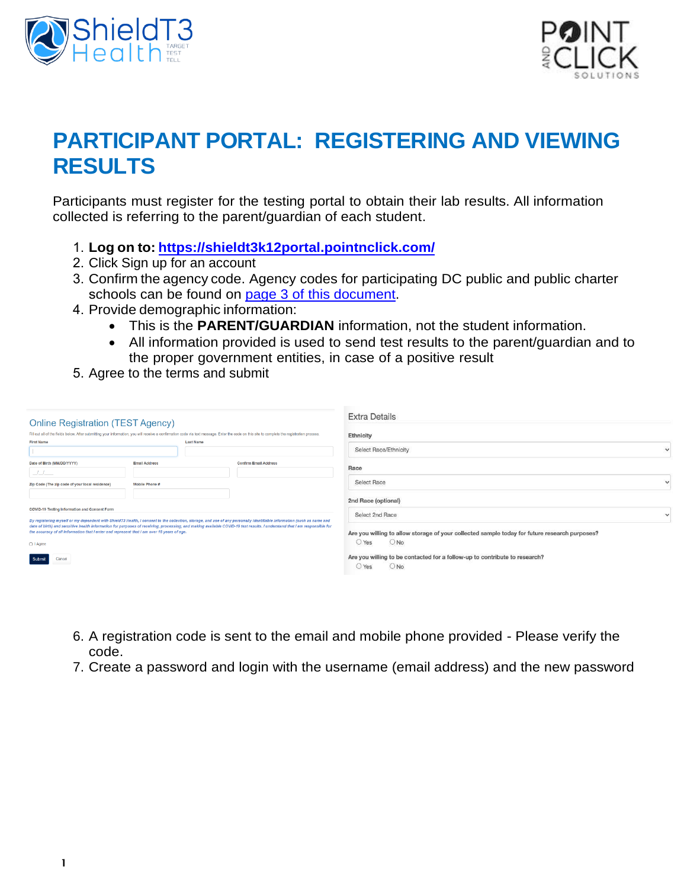



## **PARTICIPANT PORTAL: REGISTERING AND VIEWING RESULTS**

Participants must register for the testing portal to obtain their lab results. All information collected is referring to the parent/guardian of each student.

- 1. **Log on to:<https://shieldt3k12portal.pointnclick.com/>**
- 2. Click Sign up for an account
- 3. Confirm the agency code. Agency codes for participating DC public and public charter schools can be found [on page 3 of this document](#page-2-0).
- 4. Provide demographic information:
	- This is the **PARENT/GUARDIAN** information, not the student information.
	- All information provided is used to send test results to the parent/guardian and to the proper government entities, in case of a positive result
- 5. Agree to the terms and submit

| <b>Online Registration (TEST Agency)</b>                                                                                                                                                                                                                                                                                                                                                                                                                       |                      |                              | <b>Extra Details</b>                                                                                          |           |
|----------------------------------------------------------------------------------------------------------------------------------------------------------------------------------------------------------------------------------------------------------------------------------------------------------------------------------------------------------------------------------------------------------------------------------------------------------------|----------------------|------------------------------|---------------------------------------------------------------------------------------------------------------|-----------|
| Fill out all of the fields below. After submitting your information, you will receive a confirmation code via text message. Enter the code on this site to complete the registration process.<br><b>First Name</b><br>Last Name                                                                                                                                                                                                                                |                      |                              | <b>Ethnicity</b>                                                                                              |           |
|                                                                                                                                                                                                                                                                                                                                                                                                                                                                |                      |                              | Select Race/Ethnicity                                                                                         | $\ddot{}$ |
| Date of Birth (MM/DD/YYYY)                                                                                                                                                                                                                                                                                                                                                                                                                                     | <b>Email Address</b> | <b>Confirm Email Address</b> | Race                                                                                                          |           |
| $-1$ $1$<br>Zip Code (The zip code of your local residence)                                                                                                                                                                                                                                                                                                                                                                                                    | Mobile Phone #       |                              | <b>Select Race</b>                                                                                            | $\ddot{}$ |
|                                                                                                                                                                                                                                                                                                                                                                                                                                                                |                      |                              | 2nd Race (optional)                                                                                           |           |
| <b>COVID-19 Testing Information and Consent Form</b>                                                                                                                                                                                                                                                                                                                                                                                                           |                      |                              | Select 2nd Race                                                                                               | $\sim$    |
| By registering myself or my dependent with ShieldT3 Health, I consent to the collection, storage, and use of any personally identifiable information (such as name and<br>date of birth) and sensitive health information for purposes of receiving, processing, and making available COVID-19 test results. I understand that I am responsible for<br>the accuracy of all information that I enter and represent that I am over 18 years of age.<br>□ I Agree |                      |                              | Are you willing to allow storage of your collected sample today for future research purposes?<br>ONO<br>○ Yes |           |
| Submit<br>Cancel                                                                                                                                                                                                                                                                                                                                                                                                                                               |                      |                              | Are you willing to be contacted for a follow-up to contribute to research?<br>ONO<br>$\vee$ Yes               |           |

- 6. A registration code is sent to the email and mobile phone provided Please verify the code.
- 7. Create a password and login with the username (email address) and the new password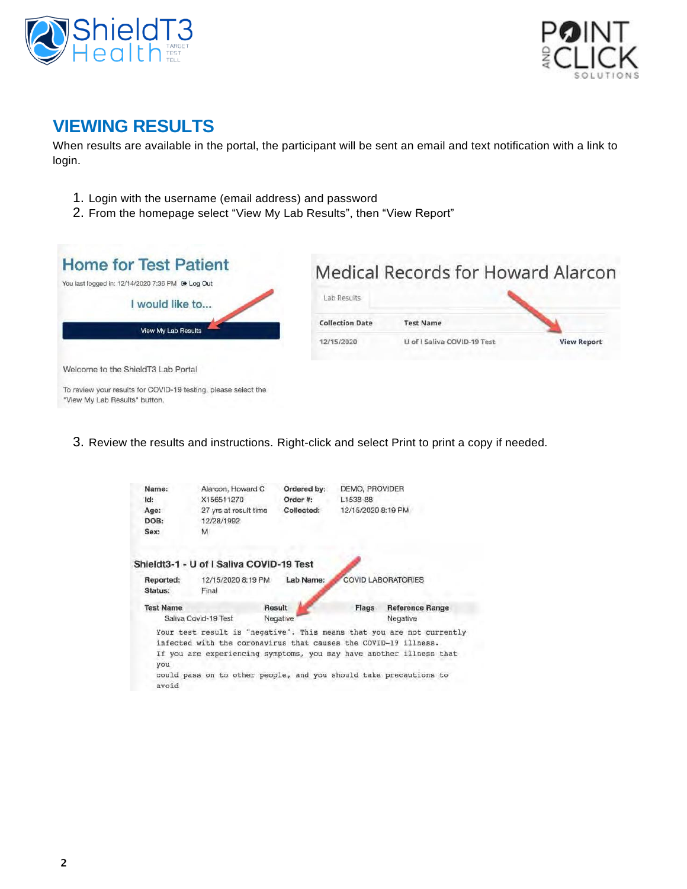



## **VIEWING RESULTS**

When results are available in the portal, the participant will be sent an email and text notification with a link to login.

- 1. Login with the username (email address) and password
- 2. From the homepage select "View My Lab Results", then "View Report"



Welcome to the ShieldT3 Lab Portal

To review your results for COVID-19 testing, please select the "View My Lab Results" button.

3. Review the results and instructions. Right-click and select Print to print a copy if needed.

| Name:                | Alarcon, Howard C                                                                                                                                                                                           | Ordered by: | DEMO, PROVIDER     |                                                                       |
|----------------------|-------------------------------------------------------------------------------------------------------------------------------------------------------------------------------------------------------------|-------------|--------------------|-----------------------------------------------------------------------|
| Id:                  | X156511270                                                                                                                                                                                                  | Order #:    | L1538-88           |                                                                       |
| Age:                 | 27 yrs at result time                                                                                                                                                                                       | Collected:  | 12/15/2020 8:19 PM |                                                                       |
| DOB:                 | 12/28/1992                                                                                                                                                                                                  |             |                    |                                                                       |
| Sex:                 | M.                                                                                                                                                                                                          |             |                    |                                                                       |
|                      | Shieldt3-1 - U of I Saliva COVID-19 Test                                                                                                                                                                    |             |                    |                                                                       |
| Reported:<br>Status: | 12/15/2020 8:19 PM<br>Final                                                                                                                                                                                 | Lab Name:   |                    | <b>COVID LABORATORIES</b>                                             |
| <b>Test Name</b>     |                                                                                                                                                                                                             | Result      | Flags              | <b>Reference Range</b>                                                |
|                      | Saliya Covid-19 Test                                                                                                                                                                                        | Negative    |                    | Negative                                                              |
| you<br>avoid         | infected with the coronavirus that causes the COVID-19 illness.<br>If you are experiencing symptoms, you may have another illness that<br>could pass on to other people, and you should take precautions to |             |                    | Your test result is "negative". This means that you are not currently |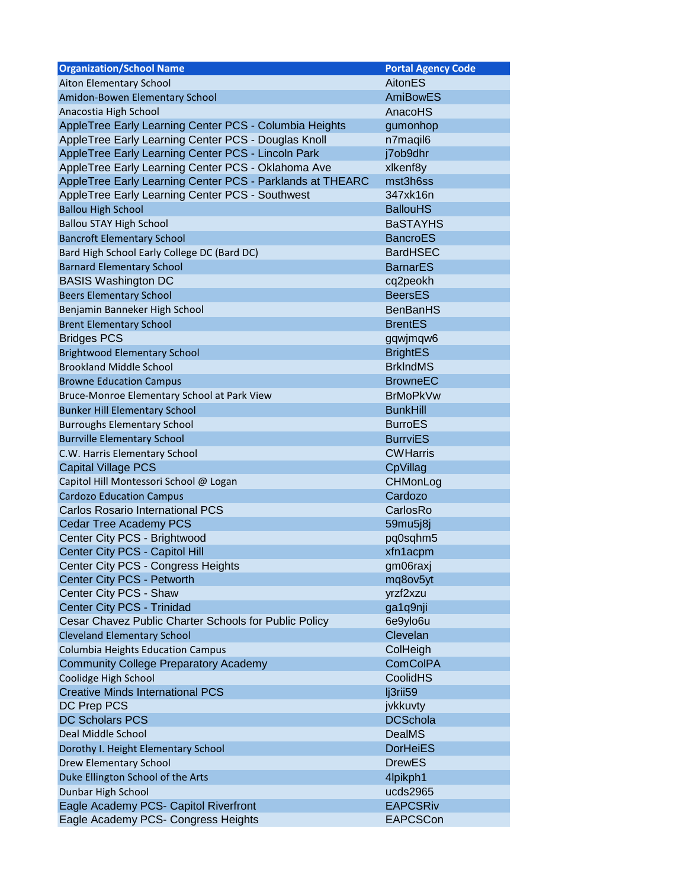<span id="page-2-0"></span>

| <b>Organization/School Name</b>                           | <b>Portal Agency Code</b> |
|-----------------------------------------------------------|---------------------------|
| Aiton Elementary School                                   | AitonES                   |
| Amidon-Bowen Elementary School                            | <b>AmiBowES</b>           |
| Anacostia High School                                     | AnacoHS                   |
| AppleTree Early Learning Center PCS - Columbia Heights    | gumonhop                  |
| AppleTree Early Learning Center PCS - Douglas Knoll       | n7maqil6                  |
| AppleTree Early Learning Center PCS - Lincoln Park        | j7ob9dhr                  |
| AppleTree Early Learning Center PCS - Oklahoma Ave        | xlkenf8y                  |
| AppleTree Early Learning Center PCS - Parklands at THEARC | mst3h6ss                  |
| AppleTree Early Learning Center PCS - Southwest           | 347xk16n                  |
| <b>Ballou High School</b>                                 | <b>BallouHS</b>           |
| <b>Ballou STAY High School</b>                            | <b>BaSTAYHS</b>           |
| <b>Bancroft Elementary School</b>                         | <b>BancroES</b>           |
| Bard High School Early College DC (Bard DC)               | <b>BardHSEC</b>           |
| <b>Barnard Elementary School</b>                          | <b>BarnarES</b>           |
| <b>BASIS Washington DC</b>                                | cq2peokh                  |
| <b>Beers Elementary School</b>                            | <b>BeersES</b>            |
| Benjamin Banneker High School                             | <b>BenBanHS</b>           |
| <b>Brent Elementary School</b>                            | <b>BrentES</b>            |
| <b>Bridges PCS</b>                                        | gqwjmqw6                  |
| <b>Brightwood Elementary School</b>                       | <b>BrightES</b>           |
| <b>Brookland Middle School</b>                            | <b>BrkIndMS</b>           |
| <b>Browne Education Campus</b>                            | <b>BrowneEC</b>           |
| Bruce-Monroe Elementary School at Park View               | <b>BrMoPkVw</b>           |
| <b>Bunker Hill Elementary School</b>                      | <b>BunkHill</b>           |
| <b>Burroughs Elementary School</b>                        | <b>BurroES</b>            |
| <b>Burrville Elementary School</b>                        | <b>BurrviES</b>           |
| C.W. Harris Elementary School                             | <b>CWHarris</b>           |
| <b>Capital Village PCS</b>                                | CpVillag                  |
| Capitol Hill Montessori School @ Logan                    | CHMonLog                  |
| <b>Cardozo Education Campus</b>                           | Cardozo                   |
| <b>Carlos Rosario International PCS</b>                   | CarlosRo                  |
| Cedar Tree Academy PCS                                    | 59mu5j8j                  |
| Center City PCS - Brightwood                              | pq0sqhm5                  |
| Center City PCS - Capitol Hill                            | xfn1acpm                  |
| Center City PCS - Congress Heights                        | gm06raxj                  |
| Center City PCS - Petworth                                | mq8ov5yt                  |
| Center City PCS - Shaw                                    | yrzf2xzu                  |
| Center City PCS - Trinidad                                | ga1q9nji                  |
| Cesar Chavez Public Charter Schools for Public Policy     | 6e9ylo6u                  |
| <b>Cleveland Elementary School</b>                        | Clevelan                  |
| <b>Columbia Heights Education Campus</b>                  | ColHeigh                  |
| <b>Community College Preparatory Academy</b>              | <b>ComCoIPA</b>           |
| Coolidge High School                                      | CoolidHS                  |
| <b>Creative Minds International PCS</b>                   | lj3rii59                  |
| DC Prep PCS                                               | jvkkuvty                  |
| <b>DC Scholars PCS</b>                                    | <b>DCSchola</b>           |
| Deal Middle School                                        | <b>DealMS</b>             |
| Dorothy I. Height Elementary School                       | <b>DorHeiES</b>           |
| Drew Elementary School                                    | <b>DrewES</b>             |
| Duke Ellington School of the Arts                         | 4lpikph1                  |
| Dunbar High School                                        | ucds2965                  |
| Eagle Academy PCS- Capitol Riverfront                     | <b>EAPCSRiv</b>           |
| Eagle Academy PCS- Congress Heights                       | <b>EAPCSCon</b>           |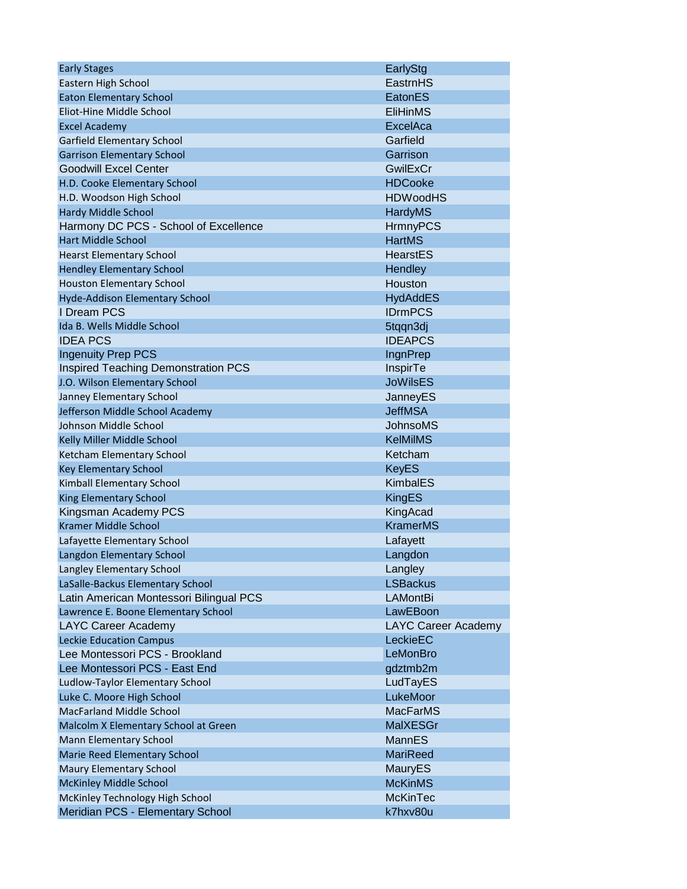| <b>Early Stages</b>                        | EarlyStg                   |
|--------------------------------------------|----------------------------|
| Eastern High School                        | EastrnHS                   |
| <b>Eaton Elementary School</b>             | EatonES                    |
| Eliot-Hine Middle School                   | <b>EliHinMS</b>            |
| <b>Excel Academy</b>                       | ExcelAca                   |
| Garfield Elementary School                 | Garfield                   |
| <b>Garrison Elementary School</b>          | Garrison                   |
| <b>Goodwill Excel Center</b>               | GwilExCr                   |
| H.D. Cooke Elementary School               | <b>HDCooke</b>             |
| H.D. Woodson High School                   | <b>HDWoodHS</b>            |
| <b>Hardy Middle School</b>                 | HardyMS                    |
| Harmony DC PCS - School of Excellence      | <b>HrmnyPCS</b>            |
| <b>Hart Middle School</b>                  | <b>HartMS</b>              |
| <b>Hearst Elementary School</b>            | HearstES                   |
| <b>Hendley Elementary School</b>           | Hendley                    |
| <b>Houston Elementary School</b>           | Houston                    |
| Hyde-Addison Elementary School             | <b>HydAddES</b>            |
| I Dream PCS                                | <b>IDrmPCS</b>             |
| Ida B. Wells Middle School                 | 5tqqn3dj                   |
| <b>IDEA PCS</b>                            | <b>IDEAPCS</b>             |
| <b>Ingenuity Prep PCS</b>                  | <b>IngnPrep</b>            |
| <b>Inspired Teaching Demonstration PCS</b> | <b>InspirTe</b>            |
| J.O. Wilson Elementary School              | <b>JoWilsES</b>            |
| Janney Elementary School                   | JanneyES                   |
| Jefferson Middle School Academy            | <b>JeffMSA</b>             |
| Johnson Middle School                      | <b>JohnsoMS</b>            |
| Kelly Miller Middle School                 | <b>KelMilMS</b>            |
| Ketcham Elementary School                  | Ketcham                    |
| <b>Key Elementary School</b>               | <b>KeyES</b>               |
| Kimball Elementary School                  | <b>KimbalES</b>            |
| <b>King Elementary School</b>              | <b>KingES</b>              |
| Kingsman Academy PCS                       | KingAcad                   |
| Kramer Middle School                       | <b>KramerMS</b>            |
| Lafayette Elementary School                | Lafayett                   |
| Langdon Elementary School                  | Langdon                    |
| Langley Elementary School                  | Langley                    |
| LaSalle-Backus Elementary School           | <b>LSBackus</b>            |
| Latin American Montessori Bilingual PCS    | <b>LAMontBi</b>            |
| Lawrence E. Boone Elementary School        | LawEBoon                   |
| LAYC Career Academy                        | <b>LAYC Career Academy</b> |
| <b>Leckie Education Campus</b>             | LeckieEC                   |
| Lee Montessori PCS - Brookland             | LeMonBro                   |
| Lee Montessori PCS - East End              | gdztmb2m                   |
| Ludlow-Taylor Elementary School            | LudTayES                   |
| Luke C. Moore High School                  | LukeMoor                   |
| MacFarland Middle School                   | <b>MacFarMS</b>            |
| Malcolm X Elementary School at Green       | <b>MalXESGr</b>            |
| Mann Elementary School                     | MannES                     |
| Marie Reed Elementary School               | <b>MariReed</b>            |
|                                            |                            |
| Maury Elementary School                    | MauryES                    |
| <b>McKinley Middle School</b>              | <b>McKinMS</b>             |
| McKinley Technology High School            | <b>McKinTec</b>            |
| Meridian PCS - Elementary School           | k7hxv80u                   |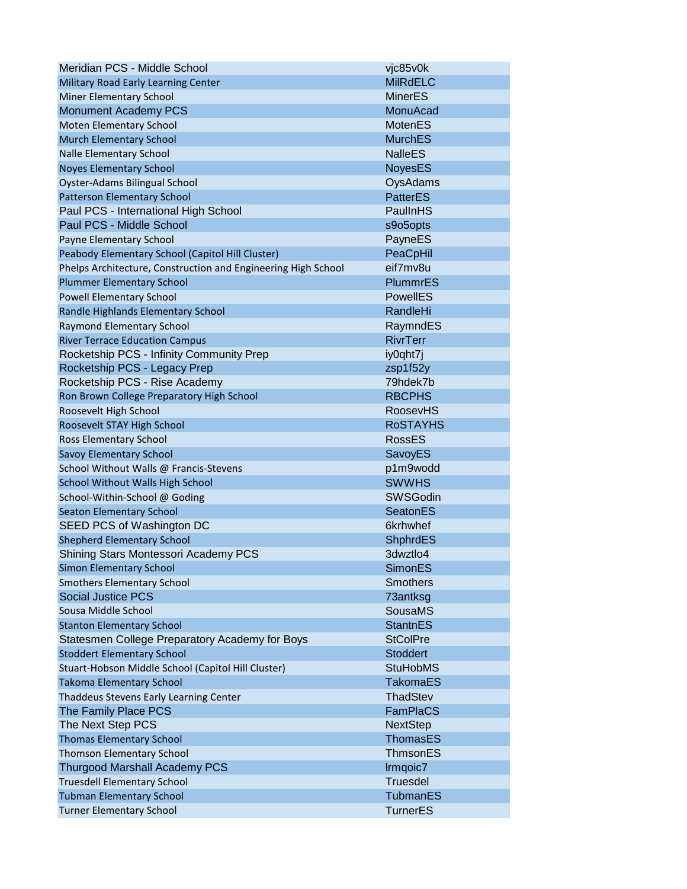| Meridian PCS - Middle School                                  | vjc85v0k        |
|---------------------------------------------------------------|-----------------|
| Military Road Early Learning Center                           | <b>MilRdELC</b> |
| Miner Elementary School                                       | <b>MinerES</b>  |
| <b>Monument Academy PCS</b>                                   | MonuAcad        |
| Moten Elementary School                                       | <b>MotenES</b>  |
| <b>Murch Elementary School</b>                                | <b>MurchES</b>  |
| Nalle Elementary School                                       | <b>NalleES</b>  |
| <b>Noyes Elementary School</b>                                | <b>NoyesES</b>  |
| Oyster-Adams Bilingual School                                 | OysAdams        |
| Patterson Elementary School                                   | <b>PatterES</b> |
| Paul PCS - International High School                          | PaullnHS        |
| Paul PCS - Middle School                                      | s9o5opts        |
| Payne Elementary School                                       | PayneES         |
| Peabody Elementary School (Capitol Hill Cluster)              | PeaCpHil        |
| Phelps Architecture, Construction and Engineering High School | eif7mv8u        |
| <b>Plummer Elementary School</b>                              | <b>PlummrES</b> |
| <b>Powell Elementary School</b>                               | <b>PowellES</b> |
| Randle Highlands Elementary School                            | RandleHi        |
| Raymond Elementary School                                     | RaymndES        |
| <b>River Terrace Education Campus</b>                         | <b>RivrTerr</b> |
| Rocketship PCS - Infinity Community Prep                      | iy0qht7j        |
| Rocketship PCS - Legacy Prep                                  | zsp1f52y        |
| Rocketship PCS - Rise Academy                                 | 79hdek7b        |
| Ron Brown College Preparatory High School                     | <b>RBCPHS</b>   |
| Roosevelt High School                                         | <b>RoosevHS</b> |
| Roosevelt STAY High School                                    | <b>ROSTAYHS</b> |
| Ross Elementary School                                        | <b>RossES</b>   |
| Savoy Elementary School                                       | SavoyES         |
| School Without Walls @ Francis-Stevens                        | p1m9wodd        |
| School Without Walls High School                              | <b>SWWHS</b>    |
| School-Within-School @ Goding                                 | <b>SWSGodin</b> |
| <b>Seaton Elementary School</b>                               | <b>SeatonES</b> |
| SEED PCS of Washington DC                                     | 6krhwhef        |
| <b>Shepherd Elementary School</b>                             | ShphrdES        |
| Shining Stars Montessori Academy PCS                          | 3dwztlo4        |
| Simon Elementary School                                       | <b>SimonES</b>  |
| <b>Smothers Elementary School</b>                             | <b>Smothers</b> |
| <b>Social Justice PCS</b>                                     | 73antksg        |
| Sousa Middle School                                           | <b>SousaMS</b>  |
| <b>Stanton Elementary School</b>                              | <b>StantnES</b> |
| Statesmen College Preparatory Academy for Boys                | <b>StColPre</b> |
| <b>Stoddert Elementary School</b>                             | <b>Stoddert</b> |
| Stuart-Hobson Middle School (Capitol Hill Cluster)            | <b>StuHobMS</b> |
| <b>Takoma Elementary School</b>                               | TakomaES        |
| Thaddeus Stevens Early Learning Center                        | ThadStev        |
| The Family Place PCS                                          | <b>FamPlaCS</b> |
| The Next Step PCS                                             | <b>NextStep</b> |
| <b>Thomas Elementary School</b>                               | <b>ThomasES</b> |
| Thomson Elementary School                                     | ThmsonES        |
| <b>Thurgood Marshall Academy PCS</b>                          | Irmqoic7        |
| <b>Truesdell Elementary School</b>                            | <b>Truesdel</b> |
| <b>Tubman Elementary School</b>                               | TubmanES        |
| <b>Turner Elementary School</b>                               | <b>TurnerES</b> |